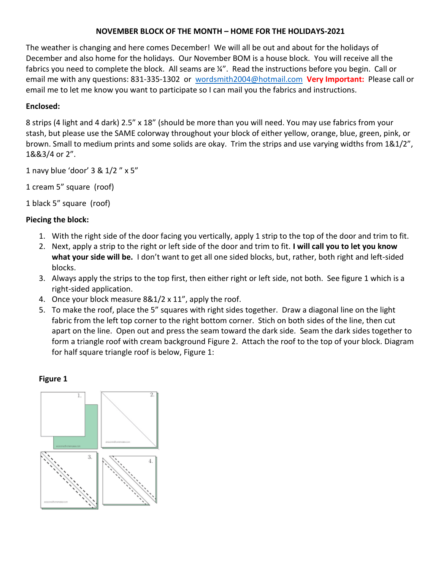### **NOVEMBER BLOCK OF THE MONTH – HOME FOR THE HOLIDAYS-2021**

The weather is changing and here comes December! We will all be out and about for the holidays of December and also home for the holidays. Our November BOM is a house block. You will receive all the fabrics you need to complete the block. All seams are  $\frac{1}{4}$ . Read the instructions before you begin. Call or email me with any questions: 831-335-1302 or [wordsmith2004@hotmail.com](mailto:wordsmith2004@hotmail.com) **Very Important:** Please call or email me to let me know you want to participate so I can mail you the fabrics and instructions.

# **Enclosed:**

8 strips (4 light and 4 dark) 2.5" x 18" (should be more than you will need. You may use fabrics from your stash, but please use the SAME colorway throughout your block of either yellow, orange, blue, green, pink, or brown. Small to medium prints and some solids are okay. Trim the strips and use varying widths from 1&1/2", 1&&3/4 or 2".

1 navy blue 'door' 3 & 1/2 " x 5"

1 cream 5" square (roof)

1 black 5" square (roof)

### **Piecing the block:**

- 1. With the right side of the door facing you vertically, apply 1 strip to the top of the door and trim to fit.
- 2. Next, apply a strip to the right or left side of the door and trim to fit. **I will call you to let you know what your side will be.** I don't want to get all one sided blocks, but, rather, both right and left-sided blocks.
- 3. Always apply the strips to the top first, then either right or left side, not both. See figure 1 which is a right-sided application.
- 4. Once your block measure 8&1/2 x 11", apply the roof.
- 5. To make the roof, place the 5" squares with right sides together. Draw a diagonal line on the light fabric from the left top corner to the right bottom corner. Stich on both sides of the line, then cut apart on the line. Open out and press the seam toward the dark side. Seam the dark sides together to form a triangle roof with cream background Figure 2. Attach the roof to the top of your block. Diagram for half square triangle roof is below, Figure 1:

#### **Figure 1**